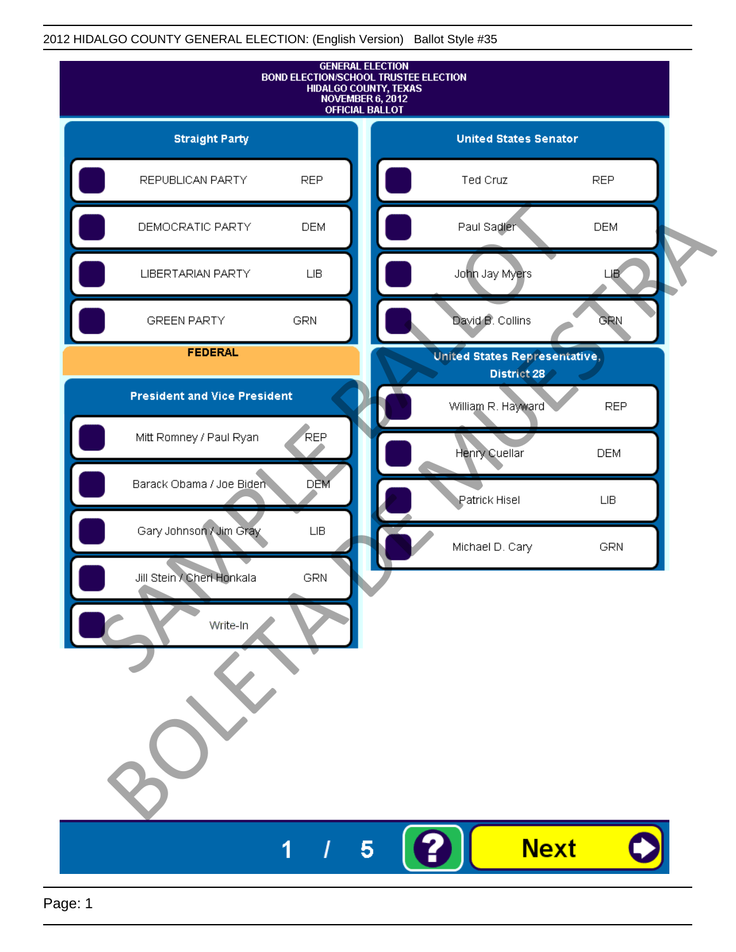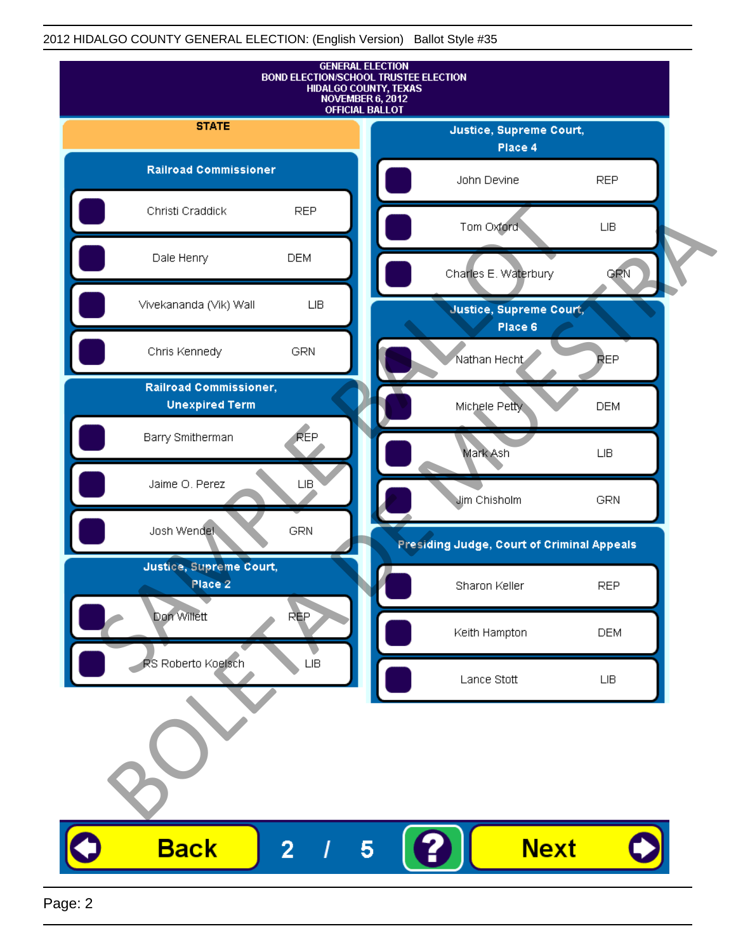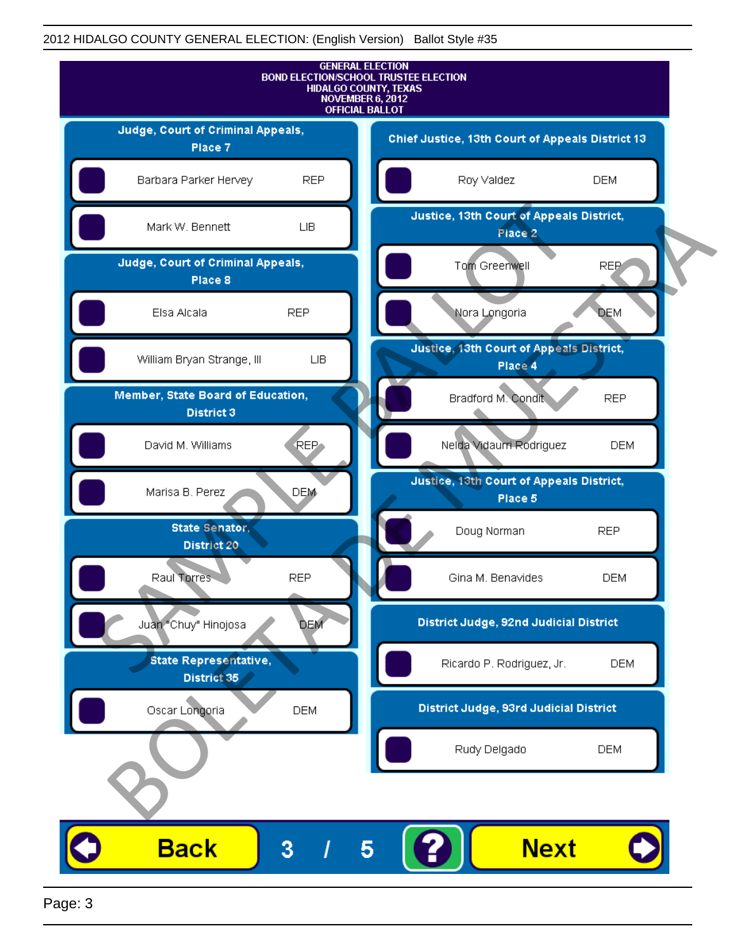

Page: 3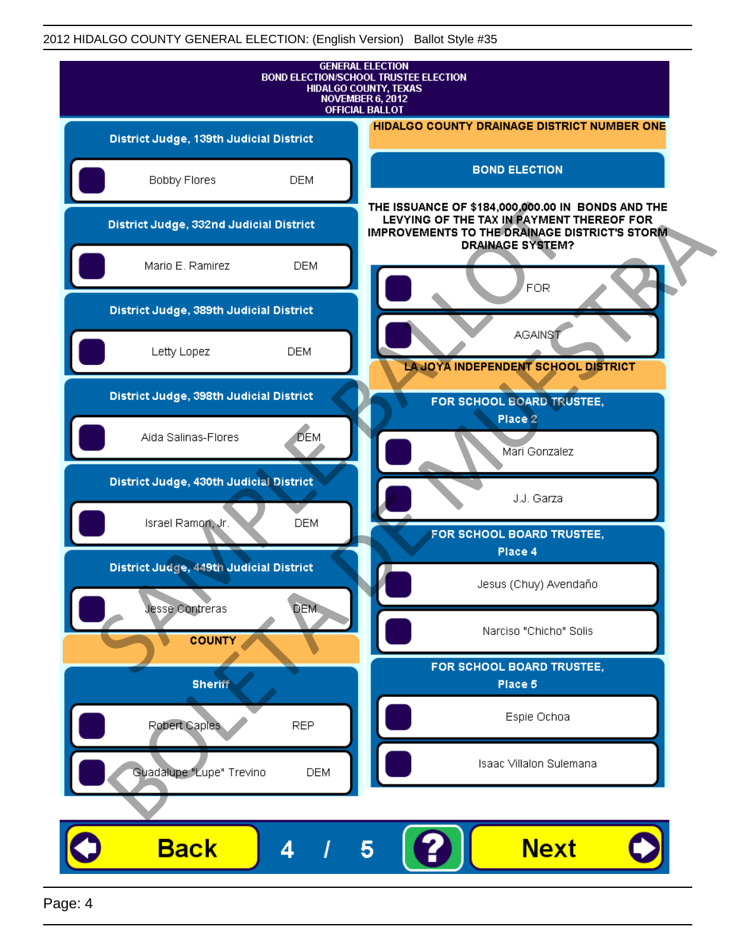| <b>GENERAL ELECTION</b><br><b>BOND ELECTION/SCHOOL TRUSTEE ELECTION</b><br><b>HIDALGO COUNTY, TEXAS</b><br><b>NOVEMBER 6, 2012</b><br><b>OFFICIAL BALLOT</b> |                                                                                                                                                                                    |
|--------------------------------------------------------------------------------------------------------------------------------------------------------------|------------------------------------------------------------------------------------------------------------------------------------------------------------------------------------|
| District Judge, 139th Judicial District                                                                                                                      | HIDALGO COUNTY DRAINAGE DISTRICT NUMBER ONE                                                                                                                                        |
| Bobby Flores<br><b>DEM</b>                                                                                                                                   | <b>BOND ELECTION</b>                                                                                                                                                               |
| District Judge, 332nd Judicial District                                                                                                                      | THE ISSUANCE OF \$184,000,000.00 IN BONDS AND THE<br>LEVYING OF THE TAX IN PAYMENT THEREOF FOR<br><b>IMPROVEMENTS TO THE DRAINAGE DISTRICT'S STORM.</b><br><b>DRAINAGE SYSTEM?</b> |
| Mario E. Ramirez<br><b>DEM</b>                                                                                                                               | FOR                                                                                                                                                                                |
| District Judge, 389th Judicial District                                                                                                                      |                                                                                                                                                                                    |
| Letty Lopez<br><b>DEM</b>                                                                                                                                    | <b>AGAINST</b><br>LA JOYA INDEPENDENT SCHOOL DISTRICT                                                                                                                              |
| District Judge, 398th Judicial District                                                                                                                      | FOR SCHOOL BOARD TRUSTEE,                                                                                                                                                          |
| <b>DEM</b><br>Aida Salinas-Flores                                                                                                                            | Place 2<br>Mari Gonzalez                                                                                                                                                           |
| District Judge, 430th Judicial District                                                                                                                      | J.J. Garza                                                                                                                                                                         |
| Israel Ramon, Jr.<br><b>DEM</b>                                                                                                                              | FOR SCHOOL BOARD TRUSTEE,                                                                                                                                                          |
| District Judge, 449th Judicial District                                                                                                                      | Place 4                                                                                                                                                                            |
| Jesse Contreras<br><b>DEM</b>                                                                                                                                | Jesus (Chuy) Avendaño                                                                                                                                                              |
| <b>COUNTY</b>                                                                                                                                                | Narciso "Chicho" Solis                                                                                                                                                             |
| <b>Sheriff</b>                                                                                                                                               | FOR SCHOOL BOARD TRUSTEE,<br>Place 5                                                                                                                                               |
| Robert Caples<br><b>REP</b>                                                                                                                                  | Espie Ochoa                                                                                                                                                                        |
| Guadalupe "Lupe" Trevino                                                                                                                                     | Isaac Villalon Sulemana<br><b>DEM</b>                                                                                                                                              |
|                                                                                                                                                              |                                                                                                                                                                                    |
| <b>Back</b><br>4                                                                                                                                             | <b>Next</b><br>5                                                                                                                                                                   |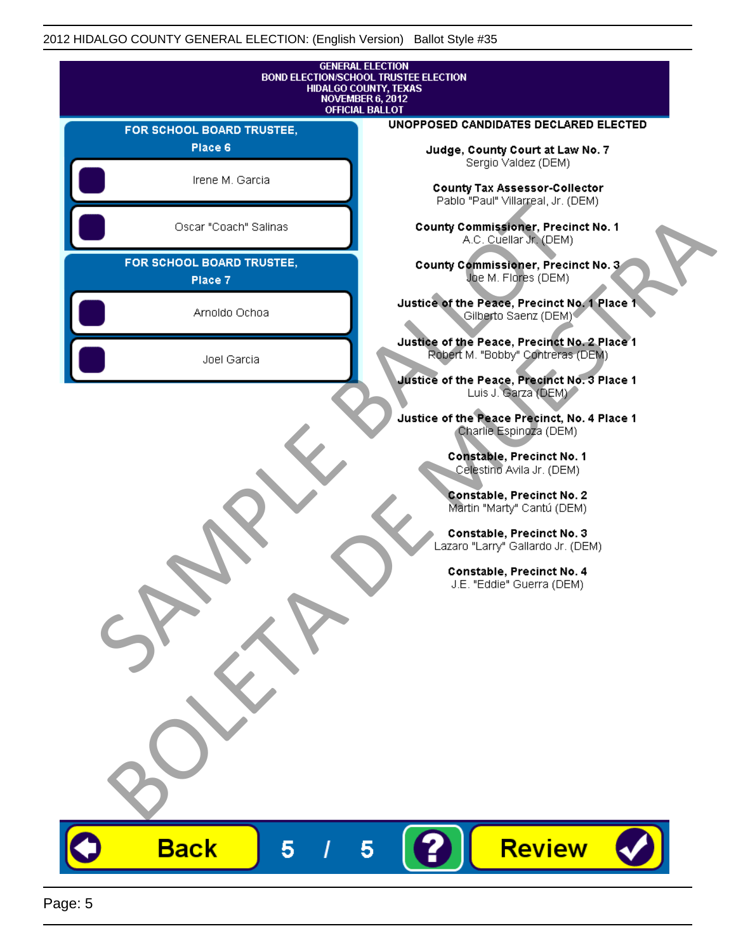| <b>GENERAL ELECTION</b><br><b>BOND ELECTION/SCHOOL TRUSTEE ELECTION</b><br>HIDALGO COUNTY, TEXAS<br><b>NOVEMBER 6, 2012</b><br><b>OFFICIAL BALLOT</b> |                                                                                                                     |
|-------------------------------------------------------------------------------------------------------------------------------------------------------|---------------------------------------------------------------------------------------------------------------------|
| FOR SCHOOL BOARD TRUSTEE,                                                                                                                             | UNOPPOSED CANDIDATES DECLARED ELECTED                                                                               |
| Place 6                                                                                                                                               | Judge, County Court at Law No. 7                                                                                    |
| Irene M. Garcia                                                                                                                                       | Sergio Valdez (DEM)<br><b>County Tax Assessor-Collector</b><br>Pablo "Paul" Villarreal, Jr. (DEM)                   |
| Oscar "Coach" Salinas                                                                                                                                 | <b>County Commissioner, Precinct No. 1</b><br>A.C. Cuellar Jr. (DEM)                                                |
| FOR SCHOOL BOARD TRUSTEE,<br>Place 7                                                                                                                  | County Commissioner, Precinct No. 3<br>Joe M. Flores (DEM)                                                          |
| Arnoldo Ochoa                                                                                                                                         | Justice of the Peace, Precinct No. 1 Place 1<br>Gilberto Saenz (DEM)                                                |
| Joel Garcia                                                                                                                                           | Justice of the Peace, Precinct No. 2 Place 1<br>Robert M. "Bobby" Contreras (DEM)                                   |
|                                                                                                                                                       | Justice of the Peace, Precinct No. 3 Place 1<br>Luis J. Garza (DEM)<br>Justice of the Peace Precinct, No. 4 Place 1 |
|                                                                                                                                                       | Charlie Espinoza (DEM)<br>Constable, Precinct No. 1                                                                 |
|                                                                                                                                                       | Celestino Avila Jr. (DEM)<br>Constable, Precinct No. 2                                                              |
|                                                                                                                                                       | Martin "Marty" Cantú (DEM)<br>Constable, Precinct No. 3                                                             |
|                                                                                                                                                       | Lazaro "Larry" Gallardo Jr. (DEM)<br>Constable, Precinct No. 4<br>J.E. "Eddie" Guerra (DEM)                         |
|                                                                                                                                                       |                                                                                                                     |
|                                                                                                                                                       |                                                                                                                     |
|                                                                                                                                                       |                                                                                                                     |
|                                                                                                                                                       |                                                                                                                     |
|                                                                                                                                                       |                                                                                                                     |
|                                                                                                                                                       |                                                                                                                     |
| <b>Back</b><br>5                                                                                                                                      | Review<br>5                                                                                                         |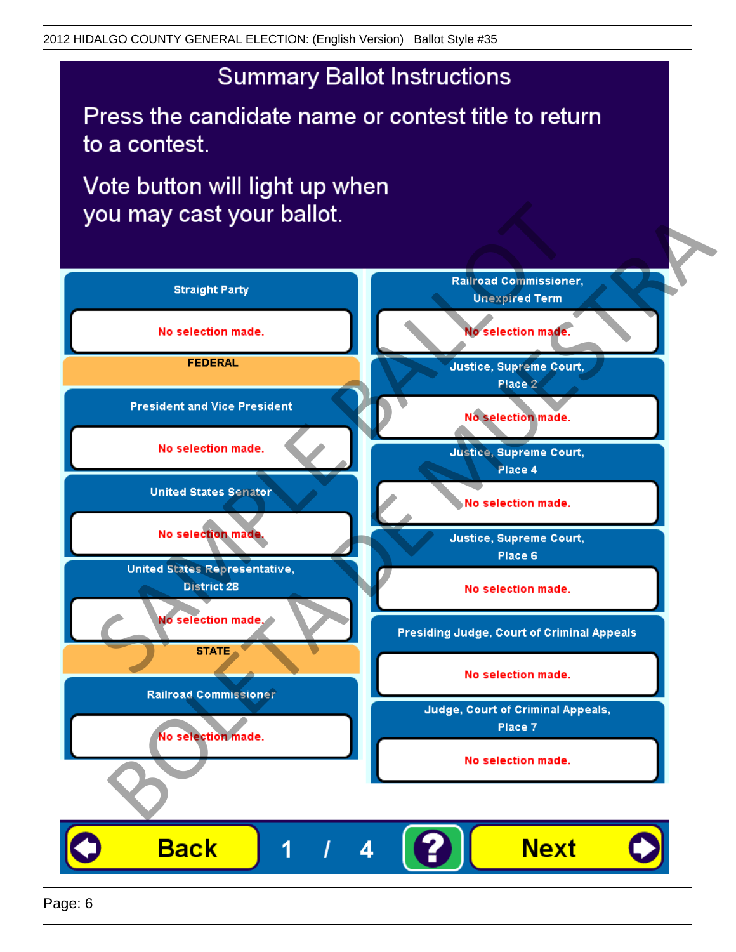Press the candidate name or contest title to return to a contest.

Vote button will light up when

![](_page_5_Figure_4.jpeg)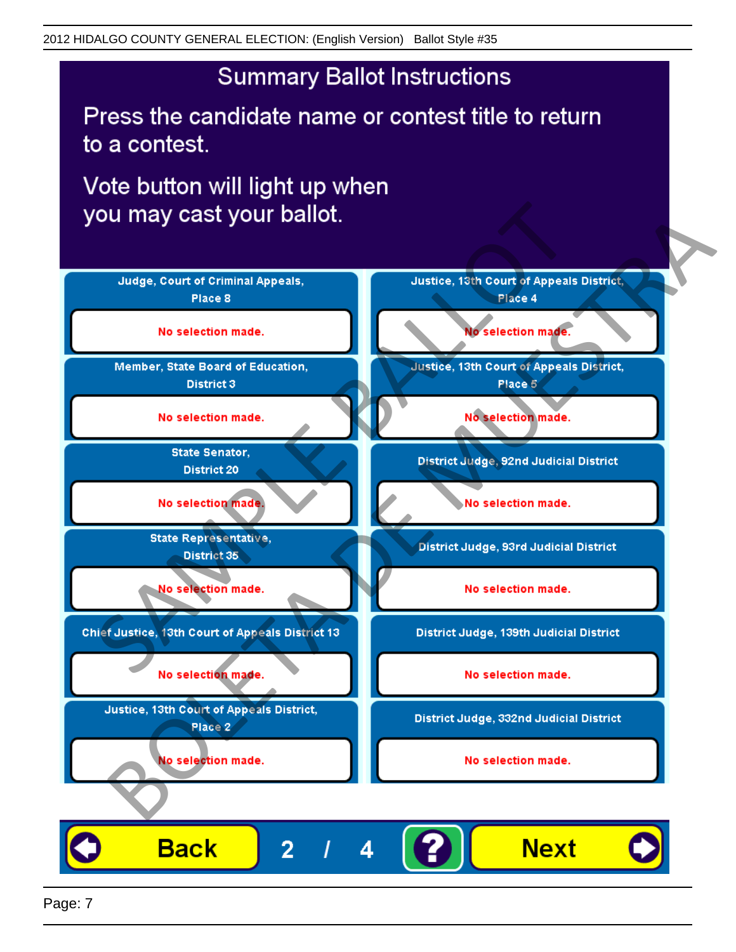Press the candidate name or contest title to return to a contest.

Vote button will light up when

![](_page_6_Figure_4.jpeg)

Page: 7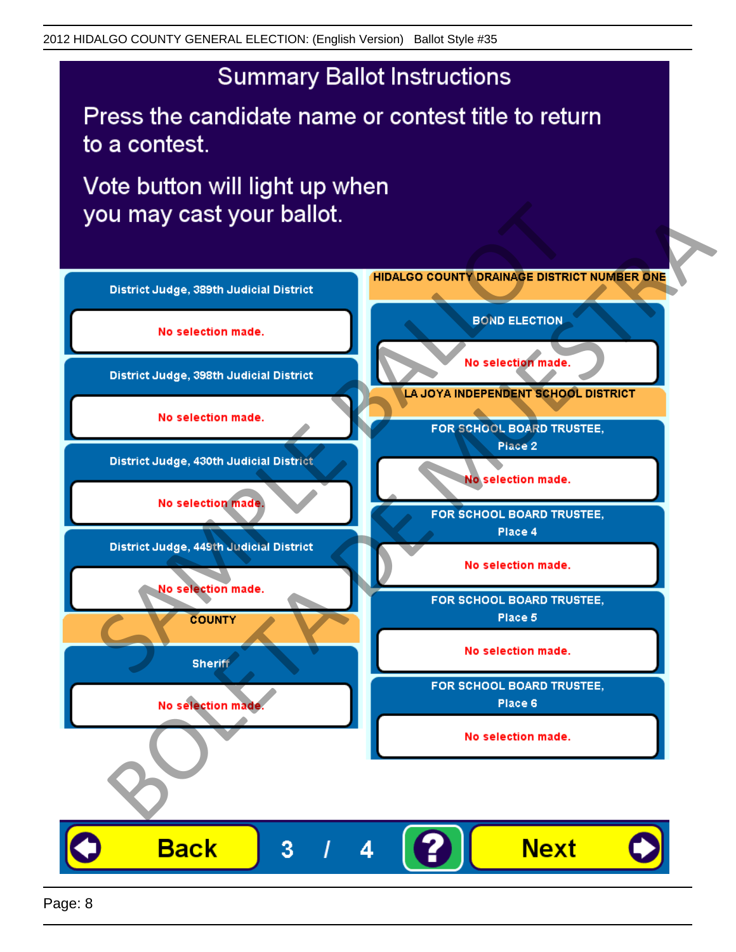Press the candidate name or contest title to return to a contest.

Vote button will light up when

![](_page_7_Figure_4.jpeg)